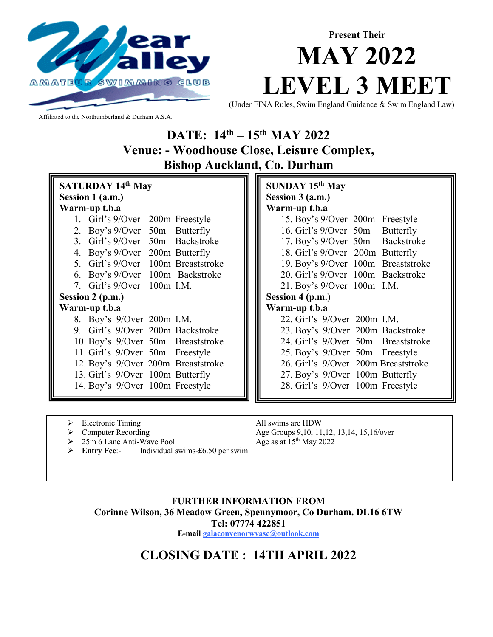

## **Present Their MAY 2022 LEVEL 3 MEET**

(Under FINA Rules, Swim England Guidance & Swim England Law)

Affiliated to the Northumberland & Durham A.S.A.

**DATE: 14th – 15th MAY 2022 Venue: - Woodhouse Close, Leisure Complex, Bishop Auckland, Co. Durham**

| <b>SATURDAY 14th May</b> |  |                           |             |                                    |  |  |  |
|--------------------------|--|---------------------------|-------------|------------------------------------|--|--|--|
| Session 1 (a.m.)         |  |                           |             |                                    |  |  |  |
| Warm-up t.b.a            |  |                           |             |                                    |  |  |  |
|                          |  | 1. Girl's 9/Over          |             | 200m Freestyle                     |  |  |  |
|                          |  | 2. Boy's 9/Over           |             | 50m Butterfly                      |  |  |  |
|                          |  | 3. Girl's $9$ /Over       |             | 50m Backstroke                     |  |  |  |
|                          |  | 4. Boy's $9$ /Over        |             | 200m Butterfly                     |  |  |  |
|                          |  | 5. Girl's 9/Over          |             | 100m Breaststroke                  |  |  |  |
|                          |  |                           |             | 6. Boy's 9/Over 100m Backstroke    |  |  |  |
|                          |  | 7. Girl's $9$ /Over       | $100m$ I.M. |                                    |  |  |  |
| Session 2 (p.m.)         |  |                           |             |                                    |  |  |  |
| Warm-up t.b.a            |  |                           |             |                                    |  |  |  |
|                          |  | 8. Boy's 9/Over 200m I.M. |             |                                    |  |  |  |
|                          |  |                           |             | 9. Girl's 9/Over 200m Backstroke   |  |  |  |
|                          |  |                           |             | 10. Boy's 9/Over 50m Breaststroke  |  |  |  |
|                          |  |                           |             | 11. Girl's 9/Over 50m Freestyle    |  |  |  |
|                          |  |                           |             | 12. Boy's 9/Over 200m Breaststroke |  |  |  |
|                          |  |                           |             | 13. Girl's 9/Over 100m Butterfly   |  |  |  |
|                          |  |                           |             | 14. Boy's 9/Over 100m Freestyle    |  |  |  |

**SUNDAY 15th May Session 3 (a.m.) Warm-up t.b.a** 15. Boy's 9/Over 200m Freestyle 16. Girl's 9/Over 50m Butterfly 17. Boy's 9/Over 50m Backstroke 18. Girl's 9/Over 200m Butterfly 19. Boy's 9/Over 100m Breaststroke 20. Girl's 9/Over 100m Backstroke 21. Boy's 9/Over 100m I.M. **Session 4 (p.m.) Warm-up t.b.a** 22. Girl's 9/Over 200m I.M. 23. Boy's 9/Over 200m Backstroke 24. Girl's 9/Over 50m Breaststroke 25. Boy's 9/Over 50m Freestyle 26. Girl's 9/Over 200m Breaststroke 27. Boy's 9/Over 100m Butterfly 28. Girl's 9/Over 100m Freestyle

- 
- 
- 25m 6 Lane Anti-Wave Pool Age as at 15<sup>th</sup> May 2022
- Ø **Entry Fee**:- Individual swims-£6.50 per swim

Electronic Timing All swims are HDW Computer Recording Age Groups 9, 10, 11, 12, 13, 14, 15, 16/over

#### **FURTHER INFORMATION FROM Corinne Wilson, 36 Meadow Green, Spennymoor, Co Durham. DL16 6TW Tel: 07774 422851 E-mail galaconvenorwvasc@outlook.com**

#### **CLOSING DATE : 14TH APRIL 2022**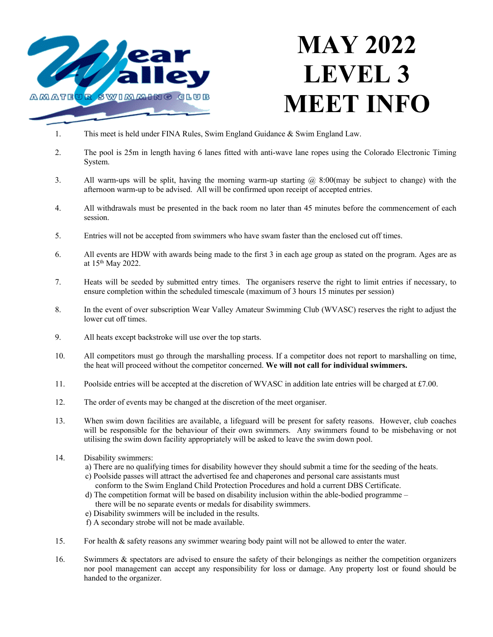

# **MAY 2022 LEVEL 3 MEET INFO**

- 1. This meet is held under FINA Rules, Swim England Guidance & Swim England Law.
- 2. The pool is 25m in length having 6 lanes fitted with anti-wave lane ropes using the Colorado Electronic Timing System.
- 3. All warm-ups will be split, having the morning warm-up starting @ 8:00(may be subject to change) with the afternoon warm-up to be advised. All will be confirmed upon receipt of accepted entries.
- 4. All withdrawals must be presented in the back room no later than 45 minutes before the commencement of each session.
- 5. Entries will not be accepted from swimmers who have swam faster than the enclosed cut off times.
- 6. All events are HDW with awards being made to the first 3 in each age group as stated on the program. Ages are as at 15th May 2022.
- 7. Heats will be seeded by submitted entry times. The organisers reserve the right to limit entries if necessary, to ensure completion within the scheduled timescale (maximum of 3 hours 15 minutes per session)
- 8. In the event of over subscription Wear Valley Amateur Swimming Club (WVASC) reserves the right to adjust the lower cut off times.
- 9. All heats except backstroke will use over the top starts.
- 10. All competitors must go through the marshalling process. If a competitor does not report to marshalling on time, the heat will proceed without the competitor concerned. **We will not call for individual swimmers.**
- 11. Poolside entries will be accepted at the discretion of WVASC in addition late entries will be charged at £7.00.
- 12. The order of events may be changed at the discretion of the meet organiser.
- 13. When swim down facilities are available, a lifeguard will be present for safety reasons. However, club coaches will be responsible for the behaviour of their own swimmers. Any swimmers found to be misbehaving or not utilising the swim down facility appropriately will be asked to leave the swim down pool.
- 14. Disability swimmers:
	- a) There are no qualifying times for disability however they should submit a time for the seeding of the heats.
	- c) Poolside passes will attract the advertised fee and chaperones and personal care assistants must conform to the Swim England Child Protection Procedures and hold a current DBS Certificate.
	- d) The competition format will be based on disability inclusion within the able-bodied programme there will be no separate events or medals for disability swimmers.
	- e) Disability swimmers will be included in the results.
	- f) A secondary strobe will not be made available.
- 15. For health & safety reasons any swimmer wearing body paint will not be allowed to enter the water.
- 16. Swimmers & spectators are advised to ensure the safety of their belongings as neither the competition organizers nor pool management can accept any responsibility for loss or damage. Any property lost or found should be handed to the organizer.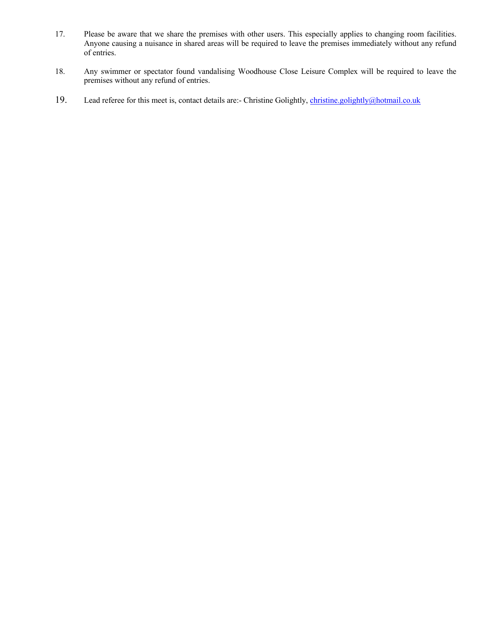- 17. Please be aware that we share the premises with other users. This especially applies to changing room facilities. Anyone causing a nuisance in shared areas will be required to leave the premises immediately without any refund of entries.
- 18. Any swimmer or spectator found vandalising Woodhouse Close Leisure Complex will be required to leave the premises without any refund of entries.
- 19. Lead referee for this meet is, contact details are:- Christine Golightly, christine.golightly@hotmail.co.uk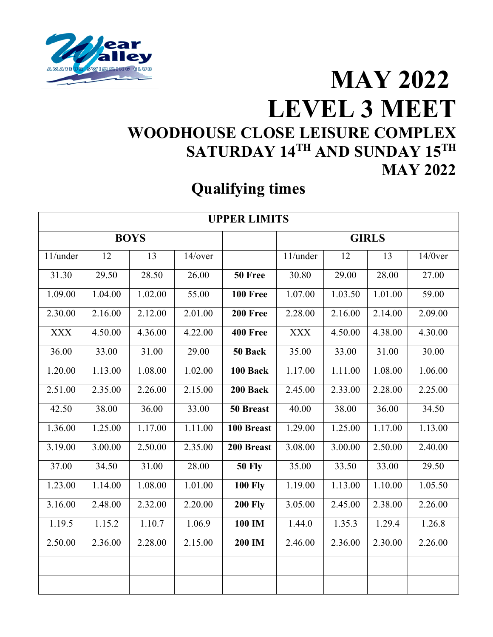

#### **MAY 2022 LEVEL 3 MEET WOODHOUSE CLOSE LEISURE COMPLEX SATURDAY 14TH AND SUNDAY 15TH MAY 2022**

#### **Qualifying times**

| <b>UPPER LIMITS</b> |             |         |         |                      |              |         |         |            |  |
|---------------------|-------------|---------|---------|----------------------|--------------|---------|---------|------------|--|
|                     | <b>BOYS</b> |         |         |                      | <b>GIRLS</b> |         |         |            |  |
| 11/under            | 12          | 13      | 14/over |                      | 11/under     | 12      | 13      | $14/0$ ver |  |
| 31.30               | 29.50       | 28.50   | 26.00   | 50 Free              | 30.80        | 29.00   | 28.00   | 27.00      |  |
| 1.09.00             | 1.04.00     | 1.02.00 | 55.00   | 100 Free             | 1.07.00      | 1.03.50 | 1.01.00 | 59.00      |  |
| 2.30.00             | 2.16.00     | 2.12.00 | 2.01.00 | 200 Free             | 2.28.00      | 2.16.00 | 2.14.00 | 2.09.00    |  |
| <b>XXX</b>          | 4.50.00     | 4.36.00 | 4.22.00 | <b>400 Free</b>      | <b>XXX</b>   | 4.50.00 | 4.38.00 | 4.30.00    |  |
| 36.00               | 33.00       | 31.00   | 29.00   | $\overline{50}$ Back | 35.00        | 33.00   | 31.00   | 30.00      |  |
| 1.20.00             | 1.13.00     | 1.08.00 | 1.02.00 | 100 Back             | 1.17.00      | 1.11.00 | 1.08.00 | 1.06.00    |  |
| 2.51.00             | 2.35.00     | 2.26.00 | 2.15.00 | 200 Back             | 2.45.00      | 2.33.00 | 2.28.00 | 2.25.00    |  |
| 42.50               | 38.00       | 36.00   | 33.00   | 50 Breast            | 40.00        | 38.00   | 36.00   | 34.50      |  |
| 1.36.00             | 1.25.00     | 1.17.00 | 1.11.00 | 100 Breast           | 1.29.00      | 1.25.00 | 1.17.00 | 1.13.00    |  |
| 3.19.00             | 3.00.00     | 2.50.00 | 2.35.00 | 200 Breast           | 3.08.00      | 3.00.00 | 2.50.00 | 2.40.00    |  |
| 37.00               | 34.50       | 31.00   | 28.00   | <b>50 Fly</b>        | 35.00        | 33.50   | 33.00   | 29.50      |  |
| 1.23.00             | 1.14.00     | 1.08.00 | 1.01.00 | <b>100 Fly</b>       | 1.19.00      | 1.13.00 | 1.10.00 | 1.05.50    |  |
| 3.16.00             | 2.48.00     | 2.32.00 | 2.20.00 | <b>200 Fly</b>       | 3.05.00      | 2.45.00 | 2.38.00 | 2.26.00    |  |
| 1.19.5              | 1.15.2      | 1.10.7  | 1.06.9  | 100 IM               | 1.44.0       | 1.35.3  | 1.29.4  | 1.26.8     |  |
| 2.50.00             | 2.36.00     | 2.28.00 | 2.15.00 | 200 IM               | 2.46.00      | 2.36.00 | 2.30.00 | 2.26.00    |  |
|                     |             |         |         |                      |              |         |         |            |  |
|                     |             |         |         |                      |              |         |         |            |  |